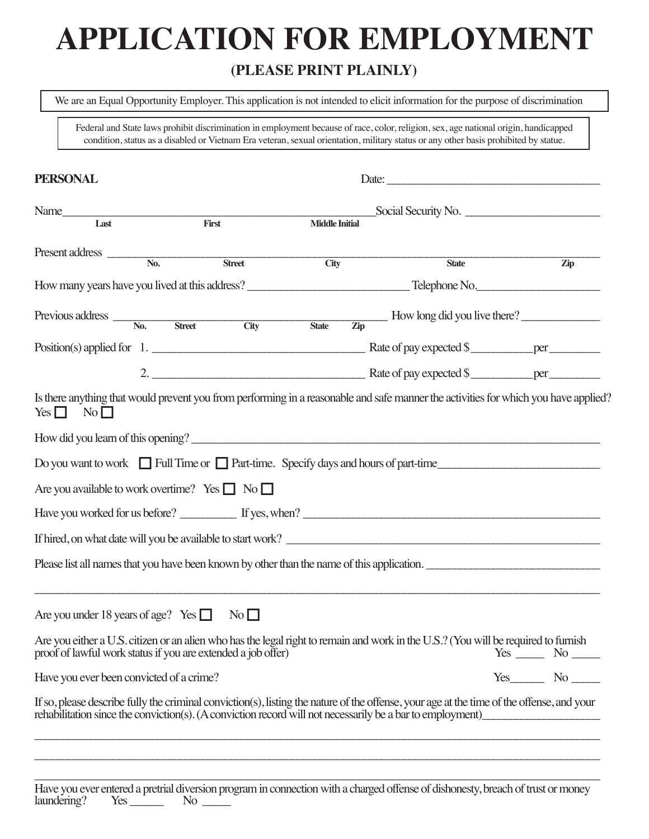# **APPLICATION FOR EMPLOYMENT**

#### **(PLEASE PRINT PLAINLY)**

We are an Equal Opportunity Employer. This application is not intended to elicit information for the purpose of discrimination

Federal and State laws prohibit discrimination in employment because of race, color, religion, sex, age national origin, handicapped condition, status as a disabled or Vietnam Era veteran, sexual orientation, military status or any other basis prohibited by statue.

| <b>PERSONAL</b>                                                                                                                                                                                                                                        |               |                       |                                                     |            |
|--------------------------------------------------------------------------------------------------------------------------------------------------------------------------------------------------------------------------------------------------------|---------------|-----------------------|-----------------------------------------------------|------------|
| Name<br>Last First First                                                                                                                                                                                                                               |               | <b>Middle Initial</b> | Social Security No.                                 |            |
| Present address $\frac{1}{\sqrt{N_0}}$                                                                                                                                                                                                                 | <b>Street</b> | City                  | <b>State</b>                                        | <b>Zip</b> |
|                                                                                                                                                                                                                                                        |               |                       |                                                     |            |
| $Previous address \_\_\_\_\_\_\$                                                                                                                                                                                                                       | Street City   | State                 | $\frac{1}{\text{Zip}}$ How long did you live there? |            |
|                                                                                                                                                                                                                                                        |               |                       |                                                     |            |
|                                                                                                                                                                                                                                                        |               |                       |                                                     |            |
| Is there anything that would prevent you from performing in a reasonable and safe manner the activities for which you have applied?<br>$Yes \Box No \Box$                                                                                              |               |                       |                                                     |            |
| How did you learn of this opening?                                                                                                                                                                                                                     |               |                       |                                                     |            |
| Do you want to work $\Box$ Full Time or $\Box$ Part-time. Specify days and hours of part-time                                                                                                                                                          |               |                       |                                                     |            |
| Are you available to work overtime? Yes $\Box$ No $\Box$                                                                                                                                                                                               |               |                       |                                                     |            |
|                                                                                                                                                                                                                                                        |               |                       |                                                     |            |
| If hired, on what date will you be available to start work?                                                                                                                                                                                            |               |                       |                                                     |            |
| Please list all names that you have been known by other than the name of this application.                                                                                                                                                             |               |                       |                                                     |            |
| Are you under 18 years of age? Yes $\Box$ No $\Box$                                                                                                                                                                                                    |               |                       |                                                     |            |
| Are you either a U.S. citizen or an alien who has the legal right to remain and work in the U.S.? (You will be required to furnish<br>proof of lawful work status if you are extended a job offer)                                                     |               |                       |                                                     |            |
| Have you ever been convicted of a crime?                                                                                                                                                                                                               |               |                       |                                                     |            |
| If so, please describe fully the criminal conviction(s), listing the nature of the offense, your age at the time of the offense, and your<br>rehabilitation since the conviction(s). (A conviction record will not necessarily be a bar to employment) |               |                       |                                                     |            |
|                                                                                                                                                                                                                                                        |               |                       |                                                     |            |

Have you ever entered a pretrial diversion program in connection with a charged offense of dishonesty, breach of trust or money  $l$ aundering? Yes  $N$ o

\_\_\_\_\_\_\_\_\_\_\_\_\_\_\_\_\_\_\_\_\_\_\_\_\_\_\_\_\_\_\_\_\_\_\_\_\_\_\_\_\_\_\_\_\_\_\_\_\_\_\_\_\_\_\_\_\_\_\_\_\_\_\_\_\_\_\_\_\_\_\_\_\_\_\_\_\_\_\_\_\_\_\_\_\_\_\_\_\_\_\_\_\_\_\_\_\_\_\_\_\_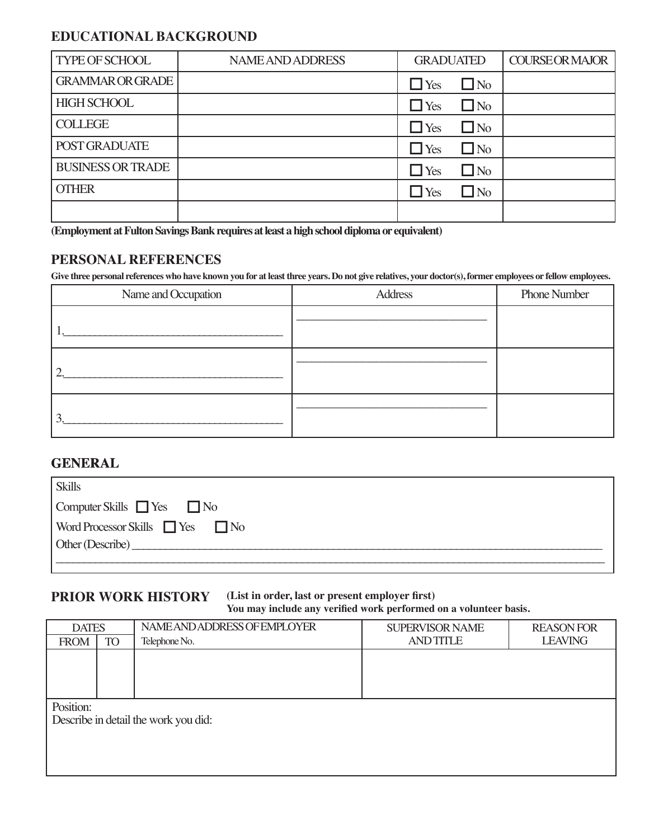#### **EDUCATIONAL BACKGROUND**

| <b>TYPE OF SCHOOL</b>    | <b>NAME AND ADDRESS</b> | <b>GRADUATED</b> |              | <b>COURSE OR MAJOR</b> |
|--------------------------|-------------------------|------------------|--------------|------------------------|
| <b>GRAMMAR OR GRADE</b>  |                         | $\Box$ Yes       | $\square$ No |                        |
| <b>HIGH SCHOOL</b>       |                         | $\Box$ Yes       | $\Box$ No    |                        |
| <b>COLLEGE</b>           |                         | $\Box$ Yes       | $\square$ No |                        |
| POST GRADUATE            |                         | $\Box$ Yes       | $\square$ No |                        |
| <b>BUSINESS OR TRADE</b> |                         | $\Box$ Yes       | $\Box$ No    |                        |
| <b>OTHER</b>             |                         | $\Box$ Yes       | $\Box$ No    |                        |
|                          |                         |                  |              |                        |

**(Employment at Fulton Savings Bank requires at least a high school diploma or equivalent)**

#### **PERSONAL REFERENCES**

**Give three personal references who have known you for at least three years. Do not give relatives, your doctor(s), former employees or fellow employees.**

| Name and Occupation | <b>Address</b> | <b>Phone Number</b> |
|---------------------|----------------|---------------------|
|                     |                |                     |
| ◠                   |                |                     |
| ⌒                   |                |                     |

#### **GENERAL**

| Skills                                      |
|---------------------------------------------|
| $\Box$ Computer Skills $\Box$ Yes $\Box$ No |
| Word Processor Skills Yes No                |
| Other (Describe)                            |
|                                             |

#### **PRIOR WORK HISTORY**

#### **(List in order, last or present employer first) You may include any verified work performed on a volunteer basis.**

| <b>DATES</b> |           | NAME AND ADDRESS OF EMPLOYER         | <b>SUPERVISOR NAME</b> | <b>REASON FOR</b> |
|--------------|-----------|--------------------------------------|------------------------|-------------------|
| <b>FROM</b>  | <b>TO</b> | Telephone No.                        | <b>AND TITLE</b>       | <b>LEAVING</b>    |
|              |           |                                      |                        |                   |
|              |           |                                      |                        |                   |
|              |           |                                      |                        |                   |
|              |           |                                      |                        |                   |
| Position:    |           |                                      |                        |                   |
|              |           | Describe in detail the work you did: |                        |                   |
|              |           |                                      |                        |                   |
|              |           |                                      |                        |                   |
|              |           |                                      |                        |                   |
|              |           |                                      |                        |                   |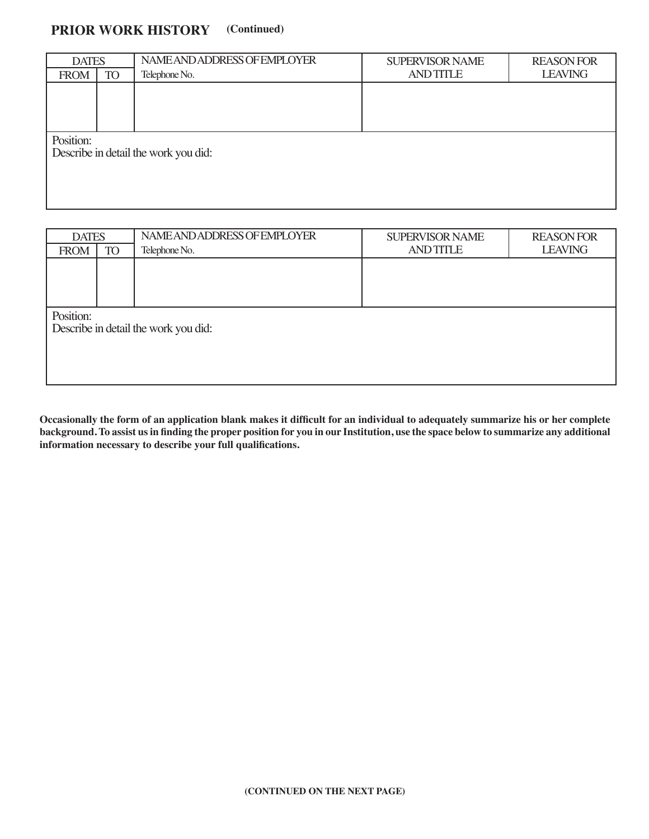#### **PRIOR WORK HISTORY (Continued)**

| <b>DATES</b><br><b>TO</b><br><b>FROM</b> |  | NAME AND ADDRESS OF EMPLOYER<br>Telephone No. | <b>SUPERVISOR NAME</b><br><b>AND TITLE</b> | <b>REASON FOR</b><br><b>LEAVING</b> |  |  |
|------------------------------------------|--|-----------------------------------------------|--------------------------------------------|-------------------------------------|--|--|
|                                          |  |                                               |                                            |                                     |  |  |
|                                          |  |                                               |                                            |                                     |  |  |
|                                          |  |                                               |                                            |                                     |  |  |
|                                          |  |                                               |                                            |                                     |  |  |
| Position:                                |  |                                               |                                            |                                     |  |  |
|                                          |  | Describe in detail the work you did:          |                                            |                                     |  |  |
|                                          |  |                                               |                                            |                                     |  |  |
|                                          |  |                                               |                                            |                                     |  |  |
|                                          |  |                                               |                                            |                                     |  |  |
|                                          |  |                                               |                                            |                                     |  |  |

| <b>DATES</b> |           | NAME AND ADDRESS OF EMPLOYER         | <b>SUPERVISOR NAME</b> | <b>REASON FOR</b> |  |  |
|--------------|-----------|--------------------------------------|------------------------|-------------------|--|--|
| <b>FROM</b>  | <b>TO</b> | Telephone No.                        | <b>AND TITLE</b>       | <b>LEAVING</b>    |  |  |
|              |           |                                      |                        |                   |  |  |
|              |           |                                      |                        |                   |  |  |
|              |           |                                      |                        |                   |  |  |
| Position:    |           |                                      |                        |                   |  |  |
|              |           | Describe in detail the work you did: |                        |                   |  |  |
|              |           |                                      |                        |                   |  |  |
|              |           |                                      |                        |                   |  |  |
|              |           |                                      |                        |                   |  |  |
|              |           |                                      |                        |                   |  |  |

**Occasionally the form of an application blank makes it difficult for an individual to adequately summarize his or her complete background. To assist us in finding the proper position for you in our Institution, use the space below to summarize any additional information necessary to describe your full qualifications.**